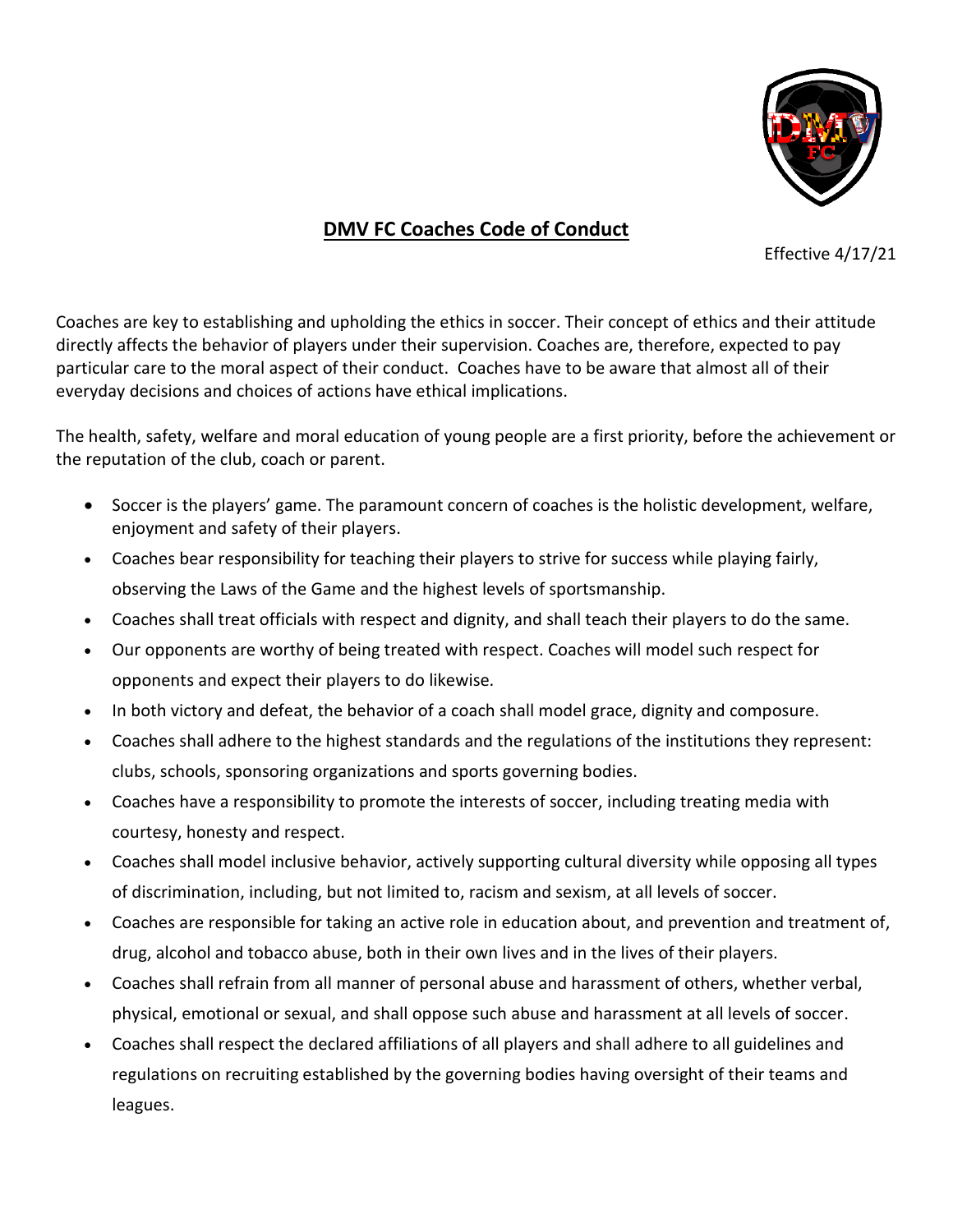

## **DMV FC Coaches Code of Conduct**

Effective 4/17/21

Coaches are key to establishing and upholding the ethics in soccer. Their concept of ethics and their attitude directly affects the behavior of players under their supervision. Coaches are, therefore, expected to pay particular care to the moral aspect of their conduct. Coaches have to be aware that almost all of their everyday decisions and choices of actions have ethical implications.

The health, safety, welfare and moral education of young people are a first priority, before the achievement or the reputation of the club, coach or parent.

- Soccer is the players' game. The paramount concern of coaches is the holistic development, welfare, enjoyment and safety of their players.
- Coaches bear responsibility for teaching their players to strive for success while playing fairly, observing the Laws of the Game and the highest levels of sportsmanship.
- Coaches shall treat officials with respect and dignity, and shall teach their players to do the same.
- Our opponents are worthy of being treated with respect. Coaches will model such respect for opponents and expect their players to do likewise.
- In both victory and defeat, the behavior of a coach shall model grace, dignity and composure.
- Coaches shall adhere to the highest standards and the regulations of the institutions they represent: clubs, schools, sponsoring organizations and sports governing bodies.
- Coaches have a responsibility to promote the interests of soccer, including treating media with courtesy, honesty and respect.
- Coaches shall model inclusive behavior, actively supporting cultural diversity while opposing all types of discrimination, including, but not limited to, racism and sexism, at all levels of soccer.
- Coaches are responsible for taking an active role in education about, and prevention and treatment of, drug, alcohol and tobacco abuse, both in their own lives and in the lives of their players.
- Coaches shall refrain from all manner of personal abuse and harassment of others, whether verbal, physical, emotional or sexual, and shall oppose such abuse and harassment at all levels of soccer.
- Coaches shall respect the declared affiliations of all players and shall adhere to all guidelines and regulations on recruiting established by the governing bodies having oversight of their teams and leagues.